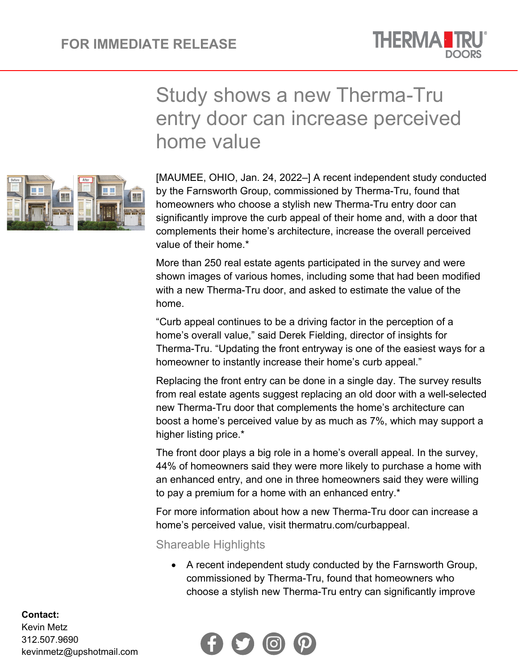

## Study shows a new Therma-Tru entry door can increase perceived home value



[MAUMEE, OHIO, Jan. 24, 2022–] A recent independent study conducted by the Farnsworth Group, commissioned by Therma-Tru, found that homeowners who choose a stylish new Therma-Tru entry door can significantly improve the curb appeal of their home and, with a door that complements their home's architecture, increase the overall perceived value of their home.\*

More than 250 real estate agents participated in the survey and were shown images of various homes, including some that had been modified with a new Therma-Tru door, and asked to estimate the value of the home.

"Curb appeal continues to be a driving factor in the perception of a home's overall value," said Derek Fielding, director of insights for Therma-Tru. "Updating the front entryway is one of the easiest ways for a homeowner to instantly increase their home's curb appeal."

Replacing the front entry can be done in a single day. The survey results from real estate agents suggest replacing an old door with a well-selected new Therma-Tru door that complements the home's architecture can boost a home's perceived value by as much as 7%, which may support a higher listing price.\*

The front door plays a big role in a home's overall appeal. In the survey, 44% of homeowners said they were more likely to purchase a home with an enhanced entry, and one in three homeowners said they were willing to pay a premium for a home with an enhanced entry.\*

For more information about how a new Therma-Tru door can increase a home's perceived value, visit thermatru.com/curbappeal.

Shareable Highlights

• A recent independent study conducted by the Farnsworth Group, commissioned by Therma-Tru, found that homeowners who choose a stylish new Therma-Tru entry can significantly improve



## **Contact:**

Kevin Metz 312.507.9690 kevinmetz@upshotmail.com